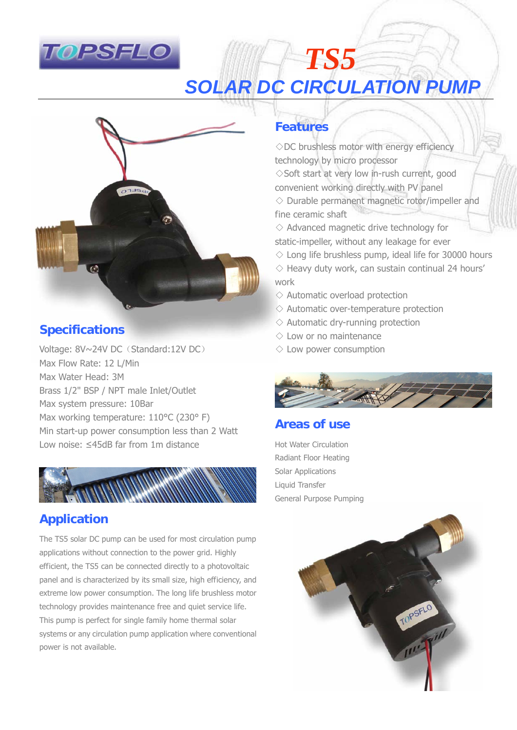

## *TS5*  **SOLAR DC CIRCULATION PUMP**



## **Specifications**

Voltage: 8V~24V DC (Standard:12V DC) Max Flow Rate: 12 L/Min Max Water Head: 3M Brass 1/2" BSP / NPT male Inlet/Outlet Max system pressure: 10Bar Max working temperature: 110°C (230° F) Min start-up power consumption less than 2 Watt Low noise: ≤45dB far from 1m distance



## **Application**

The TS5 solar DC pump can be used for most circulation pump applications without connection to the power grid. Highly efficient, the TS5 can be connected directly to a photovoltaic panel and is characterized by its small size, high efficiency, and extreme low power consumption. The long life brushless motor technology provides maintenance free and quiet service life. This pump is perfect for single family home thermal solar systems or any circulation pump application where conventional power is not available.

## **Features**

◇DC brushless motor with energy efficiency technology by micro processor ◇Soft start at very low in-rush current, good convenient working directly with PV panel  $\diamond$  Durable permanent magnetic rotor/impeller and fine ceramic shaft

 $\diamond$  Advanced magnetic drive technology for static-impeller, without any leakage for ever

- $\diamond$  Long life brushless pump, ideal life for 30000 hours
- $\diamond$  Heavy duty work, can sustain continual 24 hours' work
- $\diamond$  Automatic overload protection
- $\Diamond$  Automatic over-temperature protection
- $\diamond$  Automatic dry-running protection
- $\diamondsuit$  Low or no maintenance
- $\diamondsuit$  Low power consumption



### **Areas of use**

Hot Water Circulation Radiant Floor Heating Solar Applications Liquid Transfer General Purpose Pumping

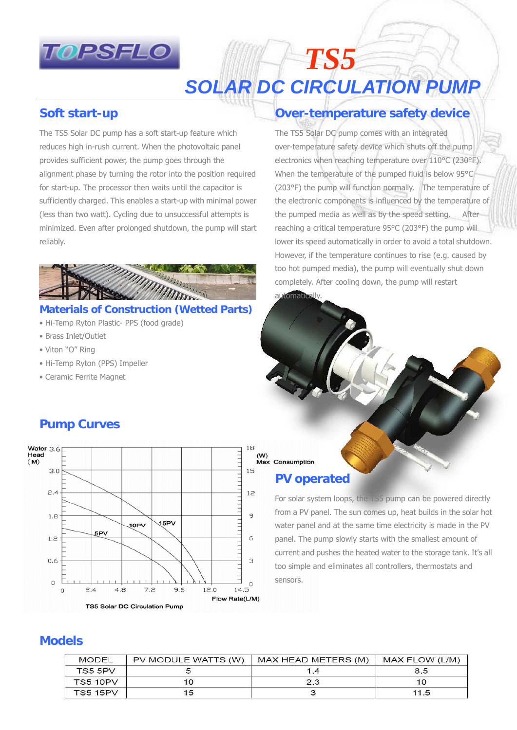

# *SOLAR DC CIRCULATION PUMP*

*TS5* 

### **Soft start-up**

The TS5 Solar DC pump has a soft start-up feature which reduces high in-rush current. When the photovoltaic panel provides sufficient power, the pump goes through the alignment phase by turning the rotor into the position required for start-up. The processor then waits until the capacitor is sufficiently charged. This enables a start-up with minimal power (less than two watt). Cycling due to unsuccessful attempts is minimized. Even after prolonged shutdown, the pump will start reliably.



#### **Materials of Construction (Wetted Parts)**

- Hi-Temp Ryton Plastic- PPS (food grade)
- Brass Inlet/Outlet
- Viton "O" Ring
- Hi-Temp Ryton (PPS) Impeller
- Ceramic Ferrite Magnet

## **Over-temperature safety device**

The TS5 Solar DC pump comes with an integrated over-temperature safety device which shuts off the pump electronics when reaching temperature over 110°C (230°F). When the temperature of the pumped fluid is below 95°C (203°F) the pump will function normally. The temperature of the electronic components is influenced by the temperature of the pumped media as well as by the speed setting. After reaching a critical temperature 95°C (203°F) the pump will lower its speed automatically in order to avoid a total shutdown. However, if the temperature continues to rise (e.g. caused by too hot pumped media), the pump will eventually shut down completely. After cooling down, the pump will restart automatically

## (W)<br>Max Consumption

#### **PV operated**

For solar system loops, the TS5 pump can be powered directly from a PV panel. The sun comes up, heat builds in the solar hot water panel and at the same time electricity is made in the PV panel. The pump slowly starts with the smallest amount of current and pushes the heated water to the storage tank. It's all too simple and eliminates all controllers, thermostats and sensors.

### **Pump Curves**



#### **Models**

| MODEL           | PV MODULE WATTS (W) | MAX HEAD METERS (M) | MAX FLOW (L/M) |
|-----------------|---------------------|---------------------|----------------|
| TS5 5PV         |                     | 1.4                 | 8.5            |
| <b>TS5 10PV</b> |                     | 2.3                 | 10             |
| <b>TS5 15PV</b> | 15                  |                     | 11.5           |